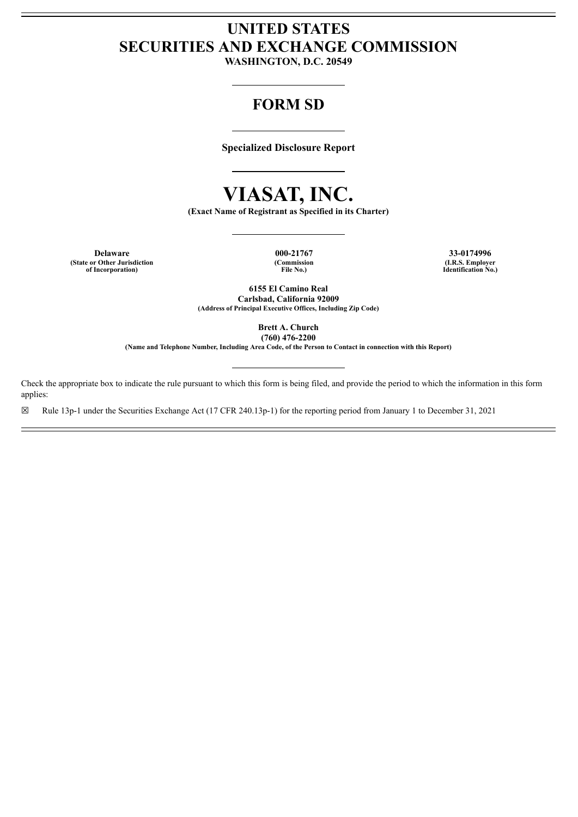# **UNITED STATES SECURITIES AND EXCHANGE COMMISSION**

**WASHINGTON, D.C. 20549**

# **FORM SD**

**Specialized Disclosure Report**

# **VIASAT, INC.**

**(Exact Name of Registrant as Specified in its Charter)**

**Delaware 000-21767 33-0174996 (State or Other Jurisdiction (Commission (I.R.S. Employer**

**of Incorporation) File No.) Identification No.)**

**6155 El Camino Real Carlsbad, California 92009 (Address of Principal Executive Offices, Including Zip Code)**

> **Brett A. Church (760) 476-2200**

**(Name and Telephone Number, Including Area Code, of the Person to Contact in connection with this Report)**

Check the appropriate box to indicate the rule pursuant to which this form is being filed, and provide the period to which the information in this form applies:

☒ Rule 13p-1 under the Securities Exchange Act (17 CFR 240.13p-1) for the reporting period from January 1 to December 31, 2021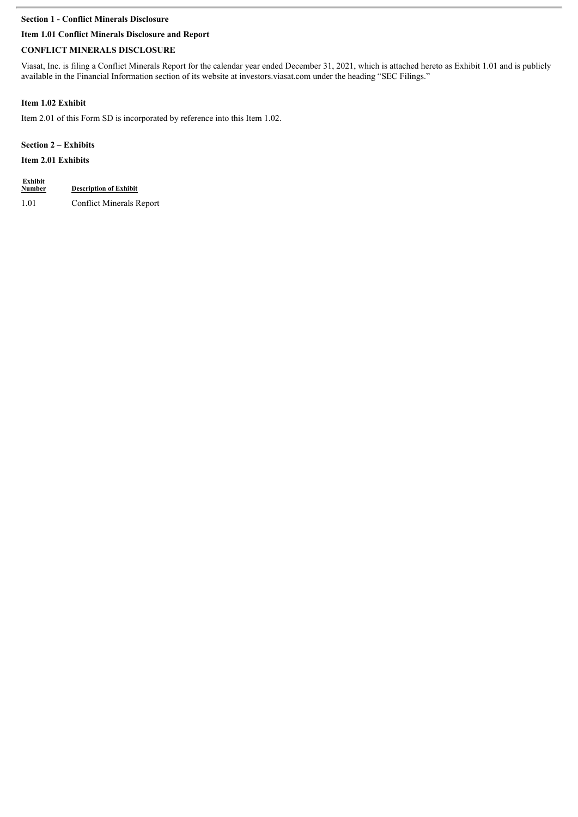# **Section 1 - Conflict Minerals Disclosure**

# **Item 1.01 Conflict Minerals Disclosure and Report**

# **CONFLICT MINERALS DISCLOSURE**

Viasat, Inc. is filing a Conflict Minerals Report for the calendar year ended December 31, 2021, which is attached hereto as Exhibit 1.01 and is publicly available in the Financial Information section of its website at investors.viasat.com under the heading "SEC Filings."

# **Item 1.02 Exhibit**

Item 2.01 of this Form SD is incorporated by reference into this Item 1.02.

# **Section 2 – Exhibits**

# **Item 2.01 Exhibits**

| Exhibit<br><b>Number</b> | <b>Description of Exhibit</b>   |
|--------------------------|---------------------------------|
| 1.01                     | <b>Conflict Minerals Report</b> |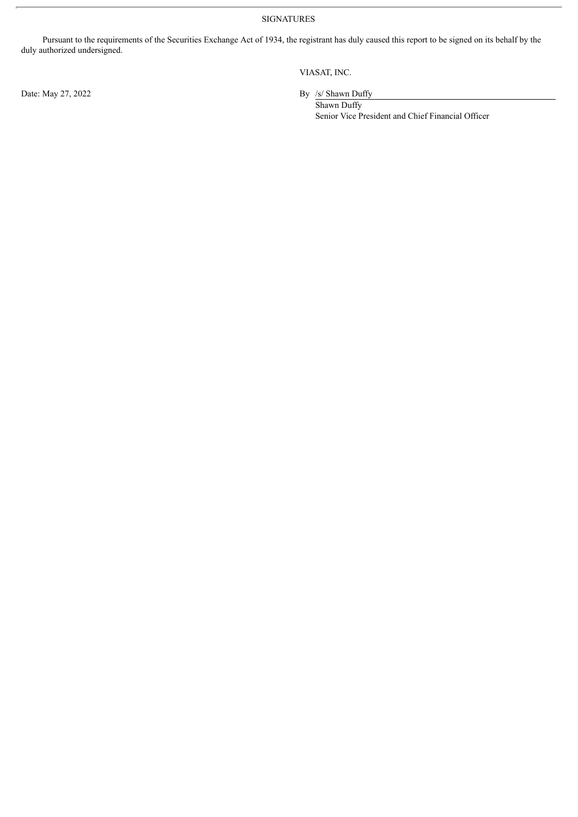SIGNATURES

Pursuant to the requirements of the Securities Exchange Act of 1934, the registrant has duly caused this report to be signed on its behalf by the duly authorized undersigned.

Date: May 27, 2022 By /s/ Shawn Duffy

VIASAT, INC.

Shawn Duffy Senior Vice President and Chief Financial Officer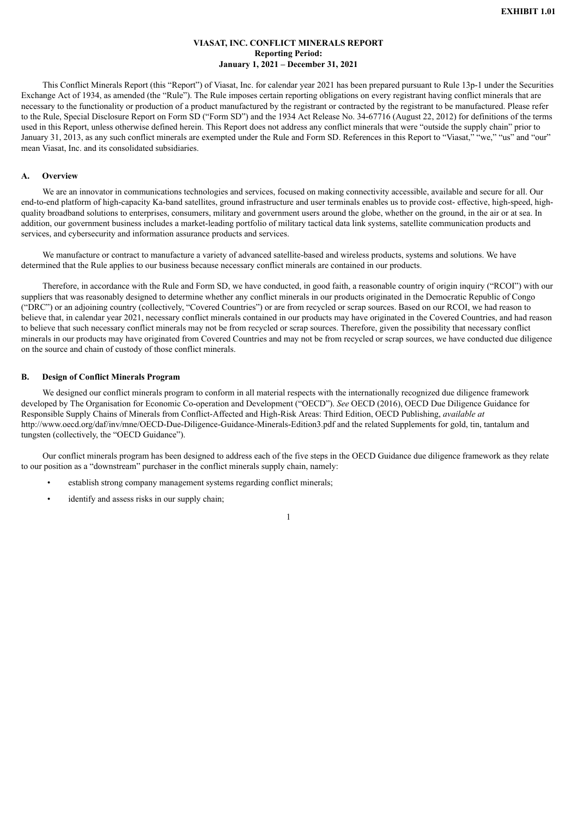#### **VIASAT, INC. CONFLICT MINERALS REPORT Reporting Period: January 1, 2021 – December 31, 2021**

This Conflict Minerals Report (this "Report") of Viasat, Inc. for calendar year 2021 has been prepared pursuant to Rule 13p-1 under the Securities Exchange Act of 1934, as amended (the "Rule"). The Rule imposes certain reporting obligations on every registrant having conflict minerals that are necessary to the functionality or production of a product manufactured by the registrant or contracted by the registrant to be manufactured. Please refer to the Rule, Special Disclosure Report on Form SD ("Form SD") and the 1934 Act Release No. 34-67716 (August 22, 2012) for definitions of the terms used in this Report, unless otherwise defined herein. This Report does not address any conflict minerals that were "outside the supply chain" prior to January 31, 2013, as any such conflict minerals are exempted under the Rule and Form SD. References in this Report to "Viasat," "we," "us" and "our" mean Viasat. Inc. and its consolidated subsidiaries.

### **A. Overview**

We are an innovator in communications technologies and services, focused on making connectivity accessible, available and secure for all. Our end-to-end platform of high-capacity Ka-band satellites, ground infrastructure and user terminals enables us to provide cost- effective, high-speed, highquality broadband solutions to enterprises, consumers, military and government users around the globe, whether on the ground, in the air or at sea. In addition, our government business includes a market-leading portfolio of military tactical data link systems, satellite communication products and services, and cybersecurity and information assurance products and services.

We manufacture or contract to manufacture a variety of advanced satellite-based and wireless products, systems and solutions. We have determined that the Rule applies to our business because necessary conflict minerals are contained in our products.

Therefore, in accordance with the Rule and Form SD, we have conducted, in good faith, a reasonable country of origin inquiry ("RCOI") with our suppliers that was reasonably designed to determine whether any conflict minerals in our products originated in the Democratic Republic of Congo ("DRC") or an adjoining country (collectively, "Covered Countries") or are from recycled or scrap sources. Based on our RCOI, we had reason to believe that, in calendar year 2021, necessary conflict minerals contained in our products may have originated in the Covered Countries, and had reason to believe that such necessary conflict minerals may not be from recycled or scrap sources. Therefore, given the possibility that necessary conflict minerals in our products may have originated from Covered Countries and may not be from recycled or scrap sources, we have conducted due diligence on the source and chain of custody of those conflict minerals.

#### **B. Design of Conflict Minerals Program**

We designed our conflict minerals program to conform in all material respects with the internationally recognized due diligence framework developed by The Organisation for Economic Co-operation and Development ("OECD"). *See* OECD (2016), OECD Due Diligence Guidance for Responsible Supply Chains of Minerals from Conflict-Affected and High-Risk Areas: Third Edition, OECD Publishing, *available at* http://www.oecd.org/daf/inv/mne/OECD-Due-Diligence-Guidance-Minerals-Edition3.pdf and the related Supplements for gold, tin, tantalum and tungsten (collectively, the "OECD Guidance").

Our conflict minerals program has been designed to address each of the five steps in the OECD Guidance due diligence framework as they relate to our position as a "downstream" purchaser in the conflict minerals supply chain, namely:

- establish strong company management systems regarding conflict minerals;
- identify and assess risks in our supply chain;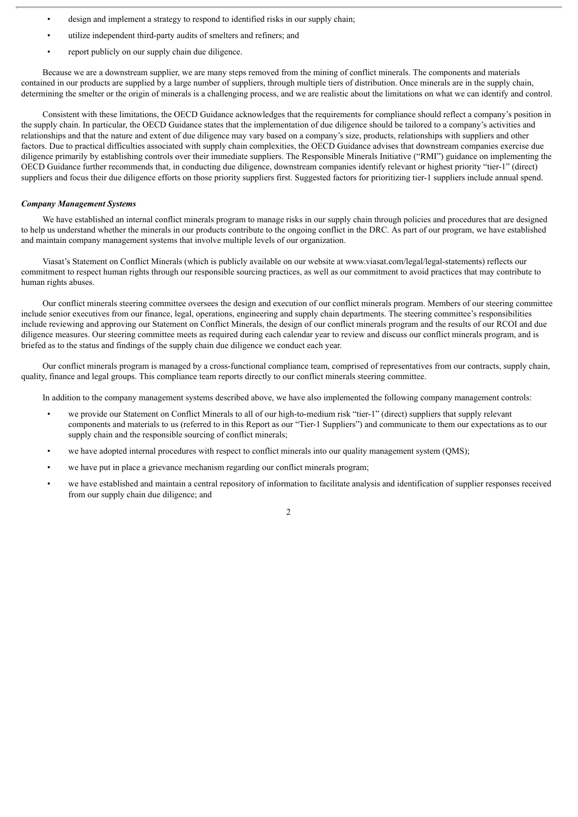- design and implement a strategy to respond to identified risks in our supply chain;
- utilize independent third-party audits of smelters and refiners; and
- report publicly on our supply chain due diligence.

Because we are a downstream supplier, we are many steps removed from the mining of conflict minerals. The components and materials contained in our products are supplied by a large number of suppliers, through multiple tiers of distribution. Once minerals are in the supply chain, determining the smelter or the origin of minerals is a challenging process, and we are realistic about the limitations on what we can identify and control.

Consistent with these limitations, the OECD Guidance acknowledges that the requirements for compliance should reflect a company's position in the supply chain. In particular, the OECD Guidance states that the implementation of due diligence should be tailored to a company's activities and relationships and that the nature and extent of due diligence may vary based on a company's size, products, relationships with suppliers and other factors. Due to practical difficulties associated with supply chain complexities, the OECD Guidance advises that downstream companies exercise due diligence primarily by establishing controls over their immediate suppliers. The Responsible Minerals Initiative ("RMI") guidance on implementing the OECD Guidance further recommends that, in conducting due diligence, downstream companies identify relevant or highest priority "tier-1" (direct) suppliers and focus their due diligence efforts on those priority suppliers first. Suggested factors for prioritizing tier-1 suppliers include annual spend.

#### *Company Management Systems*

We have established an internal conflict minerals program to manage risks in our supply chain through policies and procedures that are designed to help us understand whether the minerals in our products contribute to the ongoing conflict in the DRC. As part of our program, we have established and maintain company management systems that involve multiple levels of our organization.

Viasat's Statement on Conflict Minerals (which is publicly available on our website at www.viasat.com/legal/legal-statements) reflects our commitment to respect human rights through our responsible sourcing practices, as well as our commitment to avoid practices that may contribute to human rights abuses.

Our conflict minerals steering committee oversees the design and execution of our conflict minerals program. Members of our steering committee include senior executives from our finance, legal, operations, engineering and supply chain departments. The steering committee's responsibilities include reviewing and approving our Statement on Conflict Minerals, the design of our conflict minerals program and the results of our RCOI and due diligence measures. Our steering committee meets as required during each calendar year to review and discuss our conflict minerals program, and is briefed as to the status and findings of the supply chain due diligence we conduct each year.

Our conflict minerals program is managed by a cross-functional compliance team, comprised of representatives from our contracts, supply chain, quality, finance and legal groups. This compliance team reports directly to our conflict minerals steering committee.

In addition to the company management systems described above, we have also implemented the following company management controls:

- we provide our Statement on Conflict Minerals to all of our high-to-medium risk "tier-1" (direct) suppliers that supply relevant components and materials to us (referred to in this Report as our "Tier-1 Suppliers") and communicate to them our expectations as to our supply chain and the responsible sourcing of conflict minerals;
- we have adopted internal procedures with respect to conflict minerals into our quality management system (QMS);
- we have put in place a grievance mechanism regarding our conflict minerals program;
- we have established and maintain a central repository of information to facilitate analysis and identification of supplier responses received from our supply chain due diligence; and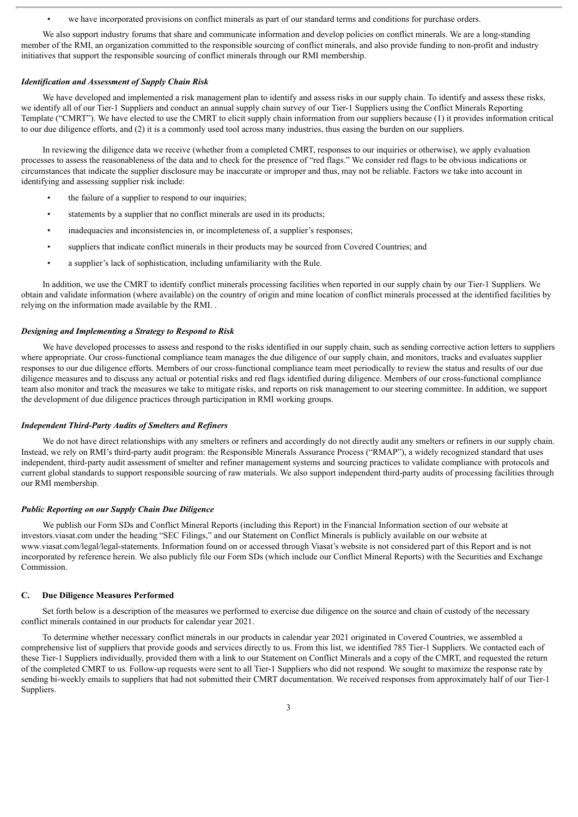• we have incorporated provisions on conflict minerals as part of our standard terms and conditions for purchase orders.

We also support industry forums that share and communicate information and develop policies on conflict minerals. We are a long-standing member of the RMI, an organization committed to the responsible sourcing of conflict minerals, and also provide funding to non-profit and industry initiatives that support the responsible sourcing of conflict minerals through our RMI membership.

#### *Identification and Assessment of Supply Chain Risk*

We have developed and implemented a risk management plan to identify and assess risks in our supply chain. To identify and assess these risks, we identify all of our Tier-1 Suppliers and conduct an annual supply chain survey of our Tier-1 Suppliers using the Conflict Minerals Reporting Template ("CMRT"). We have elected to use the CMRT to elicit supply chain information from our suppliers because (1) it provides information critical to our due diligence efforts, and (2) it is a commonly used tool across many industries, thus easing the burden on our suppliers.

In reviewing the diligence data we receive (whether from a completed CMRT, responses to our inquiries or otherwise), we apply evaluation processes to assess the reasonableness of the data and to check for the presence of "red flags." We consider red flags to be obvious indications or circumstances that indicate the supplier disclosure may be inaccurate or improper and thus, may not be reliable. Factors we take into account in identifying and assessing supplier risk include:

- the failure of a supplier to respond to our inquiries;
- statements by a supplier that no conflict minerals are used in its products;
- inadequacies and inconsistencies in, or incompleteness of, a supplier's responses;
- suppliers that indicate conflict minerals in their products may be sourced from Covered Countries; and
- a supplier's lack of sophistication, including unfamiliarity with the Rule.

In addition, we use the CMRT to identify conflict minerals processing facilities when reported in our supply chain by our Tier-1 Suppliers. We obtain and validate information (where available) on the country of origin and mine location of conflict minerals processed at the identified facilities by relying on the information made available by the RMI. .

#### *Designing and Implementing a Strategy to Respond to Risk*

We have developed processes to assess and respond to the risks identified in our supply chain, such as sending corrective action letters to suppliers where appropriate. Our cross-functional compliance team manages the due diligence of our supply chain, and monitors, tracks and evaluates supplier responses to our due diligence efforts. Members of our cross-functional compliance team meet periodically to review the status and results of our due diligence measures and to discuss any actual or potential risks and red flags identified during diligence. Members of our cross-functional compliance team also monitor and track the measures we take to mitigate risks, and reports on risk management to our steering committee. In addition, we support the development of due diligence practices through participation in RMI working groups.

#### *Independent Third-Party Audits of Smelters and Refiners*

We do not have direct relationships with any smelters or refiners and accordingly do not directly audit any smelters or refiners in our supply chain. Instead, we rely on RMI's third-party audit program: the Responsible Minerals Assurance Process ("RMAP"), a widely recognized standard that uses independent, third-party audit assessment of smelter and refiner management systems and sourcing practices to validate compliance with protocols and current global standards to support responsible sourcing of raw materials. We also support independent third-party audits of processing facilities through our RMI membership.

#### *Public Reporting on our Supply Chain Due Diligence*

We publish our Form SDs and Conflict Mineral Reports (including this Report) in the Financial Information section of our website at investors.viasat.com under the heading "SEC Filings," and our Statement on Conflict Minerals is publicly available on our website at www.viasat.com/legal/legal-statements. Information found on or accessed through Viasat's website is not considered part of this Report and is not incorporated by reference herein. We also publicly file our Form SDs (which include our Conflict Mineral Reports) with the Securities and Exchange Commission.

#### **C. Due Diligence Measures Performed**

Set forth below is a description of the measures we performed to exercise due diligence on the source and chain of custody of the necessary conflict minerals contained in our products for calendar year 2021.

To determine whether necessary conflict minerals in our products in calendar year 2021 originated in Covered Countries, we assembled a comprehensive list of suppliers that provide goods and services directly to us. From this list, we identified 785 Tier-1 Suppliers. We contacted each of these Tier-1 Suppliers individually, provided them with a link to our Statement on Conflict Minerals and a copy of the CMRT, and requested the return of the completed CMRT to us. Follow-up requests were sent to all Tier-1 Suppliers who did not respond. We sought to maximize the response rate by sending bi-weekly emails to suppliers that had not submitted their CMRT documentation. We received responses from approximately half of our Tier-1 Suppliers.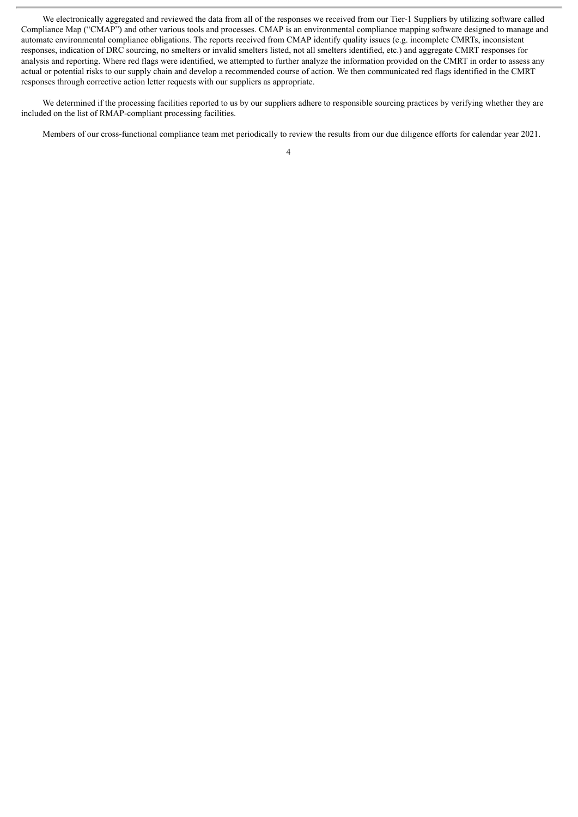We electronically aggregated and reviewed the data from all of the responses we received from our Tier-1 Suppliers by utilizing software called Compliance Map ("CMAP") and other various tools and processes. CMAP is an environmental compliance mapping software designed to manage and automate environmental compliance obligations. The reports received from CMAP identify quality issues (e.g. incomplete CMRTs, inconsistent responses, indication of DRC sourcing, no smelters or invalid smelters listed, not all smelters identified, etc.) and aggregate CMRT responses for analysis and reporting. Where red flags were identified, we attempted to further analyze the information provided on the CMRT in order to assess any actual or potential risks to our supply chain and develop a recommended course of action. We then communicated red flags identified in the CMRT responses through corrective action letter requests with our suppliers as appropriate.

We determined if the processing facilities reported to us by our suppliers adhere to responsible sourcing practices by verifying whether they are included on the list of RMAP-compliant processing facilities.

Members of our cross-functional compliance team met periodically to review the results from our due diligence efforts for calendar year 2021.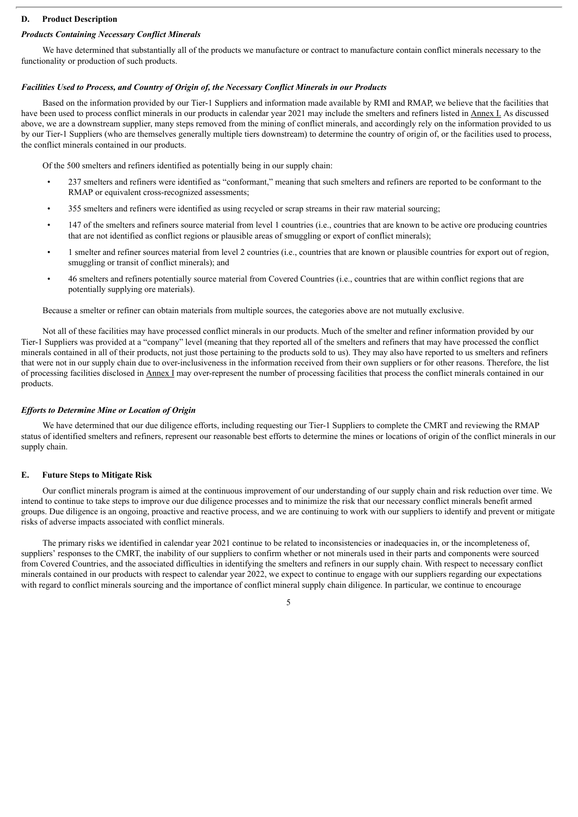#### **D. Product Description**

#### *Products Containing Necessary Conflict Minerals*

We have determined that substantially all of the products we manufacture or contract to manufacture contain conflict minerals necessary to the functionality or production of such products.

#### *Facilities Used to Process, and Country of Origin of, the Necessary Conflict Minerals in our Products*

Based on the information provided by our Tier-1 Suppliers and information made available by RMI and RMAP, we believe that the facilities that have been used to process conflict minerals in our products in calendar year 2021 may include the smelters and refiners listed in Annex I. As discussed above, we are a downstream supplier, many steps removed from the mining of conflict minerals, and accordingly rely on the information provided to us by our Tier-1 Suppliers (who are themselves generally multiple tiers downstream) to determine the country of origin of, or the facilities used to process, the conflict minerals contained in our products.

Of the 500 smelters and refiners identified as potentially being in our supply chain:

- 237 smelters and refiners were identified as "conformant," meaning that such smelters and refiners are reported to be conformant to the RMAP or equivalent cross-recognized assessments;
- 355 smelters and refiners were identified as using recycled or scrap streams in their raw material sourcing;
- 147 of the smelters and refiners source material from level 1 countries (i.e., countries that are known to be active ore producing countries that are not identified as conflict regions or plausible areas of smuggling or export of conflict minerals);
- 1 smelter and refiner sources material from level 2 countries (i.e., countries that are known or plausible countries for export out of region, smuggling or transit of conflict minerals); and
- 46 smelters and refiners potentially source material from Covered Countries (i.e., countries that are within conflict regions that are potentially supplying ore materials).

Because a smelter or refiner can obtain materials from multiple sources, the categories above are not mutually exclusive.

Not all of these facilities may have processed conflict minerals in our products. Much of the smelter and refiner information provided by our Tier-1 Suppliers was provided at a "company" level (meaning that they reported all of the smelters and refiners that may have processed the conflict minerals contained in all of their products, not just those pertaining to the products sold to us). They may also have reported to us smelters and refiners that were not in our supply chain due to over-inclusiveness in the information received from their own suppliers or for other reasons. Therefore, the list of processing facilities disclosed in Annex I may over-represent the number of processing facilities that process the conflict minerals contained in our products.

#### *Ef orts to Determine Mine or Location of Origin*

We have determined that our due diligence efforts, including requesting our Tier-1 Suppliers to complete the CMRT and reviewing the RMAP status of identified smelters and refiners, represent our reasonable best efforts to determine the mines or locations of origin of the conflict minerals in our supply chain.

#### **E. Future Steps to Mitigate Risk**

Our conflict minerals program is aimed at the continuous improvement of our understanding of our supply chain and risk reduction over time. We intend to continue to take steps to improve our due diligence processes and to minimize the risk that our necessary conflict minerals benefit armed groups. Due diligence is an ongoing, proactive and reactive process, and we are continuing to work with our suppliers to identify and prevent or mitigate risks of adverse impacts associated with conflict minerals.

The primary risks we identified in calendar year 2021 continue to be related to inconsistencies or inadequacies in, or the incompleteness of, suppliers' responses to the CMRT, the inability of our suppliers to confirm whether or not minerals used in their parts and components were sourced from Covered Countries, and the associated difficulties in identifying the smelters and refiners in our supply chain. With respect to necessary conflict minerals contained in our products with respect to calendar year 2022, we expect to continue to engage with our suppliers regarding our expectations with regard to conflict minerals sourcing and the importance of conflict mineral supply chain diligence. In particular, we continue to encourage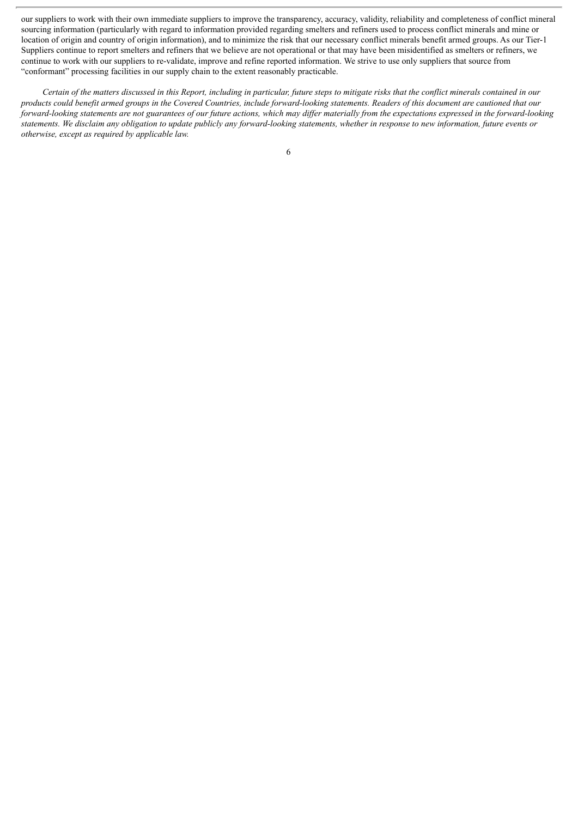our suppliers to work with their own immediate suppliers to improve the transparency, accuracy, validity, reliability and completeness of conflict mineral sourcing information (particularly with regard to information provided regarding smelters and refiners used to process conflict minerals and mine or location of origin and country of origin information), and to minimize the risk that our necessary conflict minerals benefit armed groups. As our Tier-1 Suppliers continue to report smelters and refiners that we believe are not operational or that may have been misidentified as smelters or refiners, we continue to work with our suppliers to re-validate, improve and refine reported information. We strive to use only suppliers that source from "conformant" processing facilities in our supply chain to the extent reasonably practicable.

Certain of the matters discussed in this Report, including in particular, future steps to mitigate risks that the conflict minerals contained in our products could benefit armed groups in the Covered Countries, include forward-looking statements. Readers of this document are cautioned that our forward-looking statements are not guarantees of our future actions, which may differ materially from the expectations expressed in the forward-looking statements. We disclaim any obligation to update publicly any forward-looking statements, whether in response to new information, future events or *otherwise, except as required by applicable law.*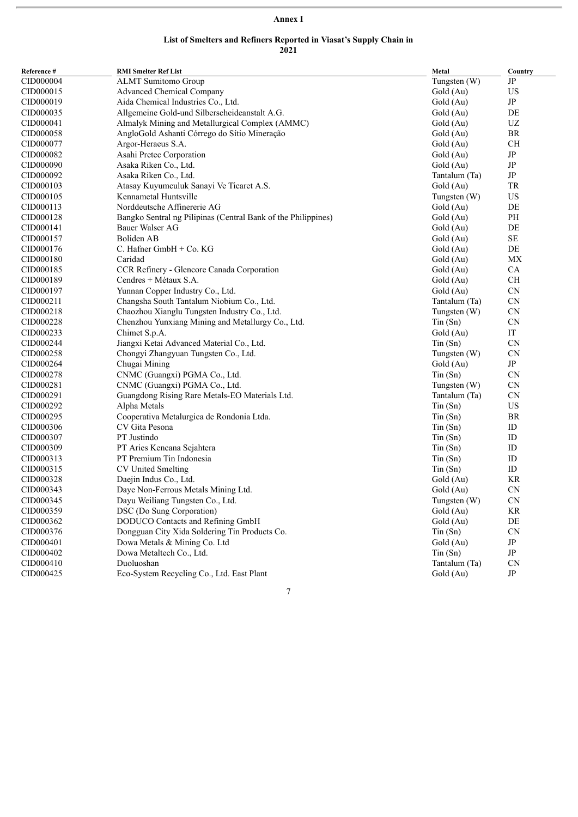## **Annex I**

#### **List of Smelters and Refiners Reported in Viasat's Supply Chain in 2021**

| Reference # | <b>RMI Smelter Ref List</b>                                   | Metal          | Country    |
|-------------|---------------------------------------------------------------|----------------|------------|
| CID000004   | <b>ALMT</b> Sumitomo Group                                    | Tungsten (W)   | JP         |
| CID000015   | <b>Advanced Chemical Company</b>                              | Gold (Au)      | US         |
| CID000019   | Aida Chemical Industries Co., Ltd.                            | Gold (Au)      | JP         |
| CID000035   | Allgemeine Gold-und Silberscheideanstalt A.G.                 | Gold (Au)      | DE         |
| CID000041   | Almalyk Mining and Metallurgical Complex (AMMC)               | Gold (Au)      | UZ         |
| CID000058   | AngloGold Ashanti Córrego do Sítio Mineração                  | Gold (Au)      | BR         |
| CID000077   | Argor-Heraeus S.A.                                            | Gold (Au)      | <b>CH</b>  |
| CID000082   | Asahi Pretec Corporation                                      | Gold (Au)      | JP         |
| CID000090   | Asaka Riken Co., Ltd.                                         | Gold (Au)      | $\rm{JP}$  |
| CID000092   | Asaka Riken Co., Ltd.                                         | Tantalum (Ta)  | $\rm{JP}$  |
| CID000103   | Atasay Kuyumculuk Sanayi Ve Ticaret A.S.                      | Gold (Au)      | TR         |
| CID000105   | Kennametal Huntsville                                         | Tungsten (W)   | US         |
| CID000113   | Norddeutsche Affinererie AG                                   | Gold (Au)      | DE         |
| CID000128   | Bangko Sentral ng Pilipinas (Central Bank of the Philippines) | Gold (Au)      | PH         |
| CID000141   | Bauer Walser AG                                               | Gold (Au)      | DE         |
| CID000157   | Boliden AB                                                    | Gold (Au)      | $\rm SE$   |
| CID000176   | C. Hafner GmbH + Co. KG                                       | Gold (Au)      | DE         |
| CID000180   | Caridad                                                       | Gold (Au)      | <b>MX</b>  |
| CID000185   | CCR Refinery - Glencore Canada Corporation                    | Gold (Au)      | CA         |
| CID000189   | Cendres + Métaux S.A.                                         | Gold (Au)      | $\rm CH$   |
| CID000197   | Yunnan Copper Industry Co., Ltd.                              | Gold (Au)      | ${\rm CN}$ |
| CID000211   | Changsha South Tantalum Niobium Co., Ltd.                     | Tantalum (Ta)  | CN         |
| CID000218   | Chaozhou Xianglu Tungsten Industry Co., Ltd.                  | Tungsten $(W)$ | CN         |
| CID000228   | Chenzhou Yunxiang Mining and Metallurgy Co., Ltd.             | $T$ in $(Sn)$  | <b>CN</b>  |
| CID000233   | Chimet S.p.A.                                                 | Gold (Au)      | IT         |
| CID000244   | Jiangxi Ketai Advanced Material Co., Ltd.                     | $T$ in $(Sn)$  | <b>CN</b>  |
| CID000258   | Chongyi Zhangyuan Tungsten Co., Ltd.                          | Tungsten (W)   | <b>CN</b>  |
| CID000264   | Chugai Mining                                                 | Gold (Au)      | JP         |
| CID000278   | CNMC (Guangxi) PGMA Co., Ltd.                                 | $T$ in $(Sn)$  | <b>CN</b>  |
| CID000281   | CNMC (Guangxi) PGMA Co., Ltd.                                 | Tungsten (W)   | ${\rm CN}$ |
| CID000291   | Guangdong Rising Rare Metals-EO Materials Ltd.                | Tantalum (Ta)  | CN         |
| CID000292   | Alpha Metals                                                  | $T$ in $(Sn)$  | <b>US</b>  |
| CID000295   | Cooperativa Metalurgica de Rondonia Ltda.                     | $T$ in $(Sn)$  | BR         |
| CID000306   | CV Gita Pesona                                                | $T$ in $(Sn)$  | ID         |
| CID000307   | PT Justindo                                                   | $T$ in $(Sn)$  | ID         |
| CID000309   | PT Aries Kencana Sejahtera                                    | Tin(Sn)        | ID         |
| CID000313   | PT Premium Tin Indonesia                                      | $T$ in $(Sn)$  | ID         |
| CID000315   | CV United Smelting                                            | $T$ in $(Sn)$  | ID         |
| CID000328   | Daejin Indus Co., Ltd.                                        | Gold (Au)      | KR         |
| CID000343   | Daye Non-Ferrous Metals Mining Ltd.                           | Gold (Au)      | <b>CN</b>  |
| CID000345   | Dayu Weiliang Tungsten Co., Ltd.                              | Tungsten (W)   | CN         |
| CID000359   | DSC (Do Sung Corporation)                                     | Gold (Au)      | KR         |
| CID000362   | DODUCO Contacts and Refining GmbH                             | Gold (Au)      | DE         |
| CID000376   | Dongguan City Xida Soldering Tin Products Co.                 | $T$ in $(Sn)$  | CN         |
| CID000401   | Dowa Metals & Mining Co. Ltd                                  | Gold (Au)      | $\rm{JP}$  |
| CID000402   | Dowa Metaltech Co., Ltd.                                      | $T$ in $(Sn)$  | $\rm{JP}$  |
| CID000410   | Duoluoshan                                                    | Tantalum (Ta)  | <b>CN</b>  |
| CID000425   | Eco-System Recycling Co., Ltd. East Plant                     | Gold (Au)      | JP         |
|             |                                                               |                |            |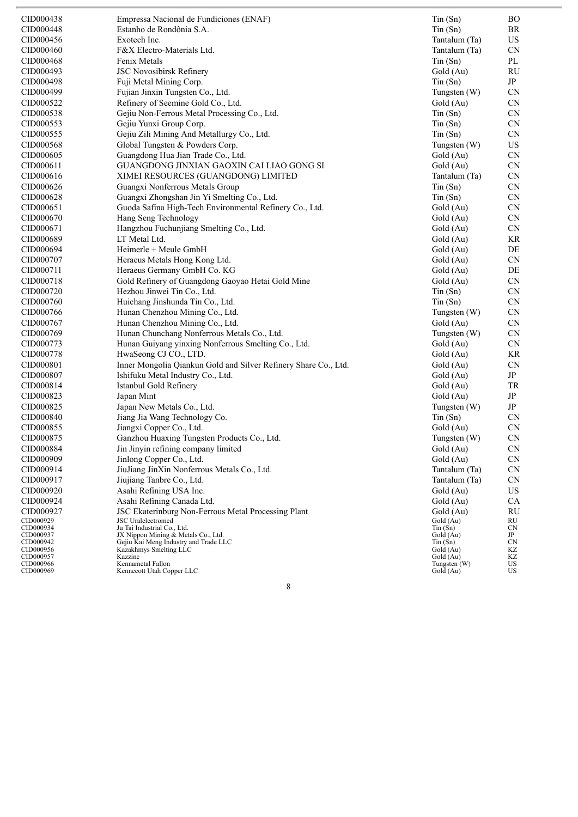| CID000438              | Empressa Nacional de Fundiciones (ENAF)                                      | $T$ in $(Sn)$              | $\rm BO$  |
|------------------------|------------------------------------------------------------------------------|----------------------------|-----------|
| CID000448              | Estanho de Rondônia S.A.                                                     | $T$ in $(Sn)$              | BR        |
| CID000456              | Exotech Inc.                                                                 | Tantalum (Ta)              | US        |
| CID000460              | F&X Electro-Materials Ltd.                                                   | Tantalum (Ta)              | <b>CN</b> |
| CID000468              | Fenix Metals                                                                 | $T$ in $(Sn)$              | PL        |
| CID000493              | JSC Novosibirsk Refinery                                                     | Gold (Au)                  | RU        |
| CID000498              | Fuji Metal Mining Corp.                                                      | $T$ in $(Sn)$              | JP        |
| CID000499              | Fujian Jinxin Tungsten Co., Ltd.                                             | Tungsten (W)               | <b>CN</b> |
| CID000522              | Refinery of Seemine Gold Co., Ltd.                                           | Gold (Au)                  | <b>CN</b> |
| CID000538              | Gejiu Non-Ferrous Metal Processing Co., Ltd.                                 | $T$ in $(Sn)$              | CN        |
| CID000553              | Gejiu Yunxi Group Corp.                                                      | $T$ in $(Sn)$              | <b>CN</b> |
| CID000555              | Gejiu Zili Mining And Metallurgy Co., Ltd.                                   |                            | <b>CN</b> |
|                        | Global Tungsten & Powders Corp.                                              | $T$ in $(Sn)$              |           |
| CID000568              |                                                                              | Tungsten (W)               | US        |
| CID000605              | Guangdong Hua Jian Trade Co., Ltd.                                           | Gold (Au)                  | <b>CN</b> |
| CID000611              | GUANGDONG JINXIAN GAOXIN CAI LIAO GONG SI                                    | Gold (Au)                  | CN        |
| CID000616              | XIMEI RESOURCES (GUANGDONG) LIMITED                                          | Tantalum (Ta)              | CN        |
| CID000626              | Guangxi Nonferrous Metals Group                                              | $T$ in $(Sn)$              | <b>CN</b> |
| CID000628              | Guangxi Zhongshan Jin Yi Smelting Co., Ltd.                                  | $T$ in $(Sn)$              | <b>CN</b> |
| CID000651              | Guoda Safina High-Tech Environmental Refinery Co., Ltd.                      | Gold (Au)                  | <b>CN</b> |
| CID000670              | Hang Seng Technology                                                         | Gold (Au)                  | CN        |
| CID000671              | Hangzhou Fuchunjiang Smelting Co., Ltd.                                      | Gold (Au)                  | <b>CN</b> |
| CID000689              | LT Metal Ltd.                                                                | Gold (Au)                  | KR        |
| CID000694              | Heimerle + Meule GmbH                                                        | Gold (Au)                  | DE        |
| CID000707              | Heraeus Metals Hong Kong Ltd.                                                | Gold (Au)                  | <b>CN</b> |
| CID000711              | Heraeus Germany GmbH Co. KG                                                  | Gold (Au)                  | DE        |
| CID000718              | Gold Refinery of Guangdong Gaoyao Hetai Gold Mine                            | Gold (Au)                  | CN        |
| CID000720              | Hezhou Jinwei Tin Co., Ltd.                                                  | $T$ in $(Sn)$              | <b>CN</b> |
| CID000760              | Huichang Jinshunda Tin Co., Ltd.                                             | $T$ in $(Sn)$              | <b>CN</b> |
| CID000766              | Hunan Chenzhou Mining Co., Ltd.                                              | Tungsten (W)               | <b>CN</b> |
| CID000767              | Hunan Chenzhou Mining Co., Ltd.                                              | Gold (Au)                  | CN        |
| CID000769              | Hunan Chunchang Nonferrous Metals Co., Ltd.                                  | Tungsten (W)               | <b>CN</b> |
| CID000773              | Hunan Guiyang yinxing Nonferrous Smelting Co., Ltd.                          | Gold (Au)                  | <b>CN</b> |
| CID000778              | HwaSeong CJ CO., LTD.                                                        | Gold (Au)                  | KR        |
| CID000801              | Inner Mongolia Qiankun Gold and Silver Refinery Share Co., Ltd.              | Gold (Au)                  | <b>CN</b> |
| CID000807              | Ishifuku Metal Industry Co., Ltd.                                            | Gold (Au)                  | JP        |
| CID000814              | Istanbul Gold Refinery                                                       | Gold (Au)                  | TR        |
| CID000823              | Japan Mint                                                                   | Gold (Au)                  | JP        |
| CID000825              | Japan New Metals Co., Ltd.                                                   | Tungsten (W)               | JP        |
| CID000840              | Jiang Jia Wang Technology Co.                                                | $T$ in $(Sn)$              | <b>CN</b> |
| CID000855              | Jiangxi Copper Co., Ltd.                                                     | Gold (Au)                  | <b>CN</b> |
| CID000875              | Ganzhou Huaxing Tungsten Products Co., Ltd.                                  | Tungsten (W)               | CN        |
| CID000884              | Jin Jinyin refining company limited                                          | Gold (Au)                  | CN        |
| CID000909              | Jinlong Copper Co., Ltd.                                                     | Gold (Au)                  | CN        |
| CID000914              | JiuJiang JinXin Nonferrous Metals Co., Ltd.                                  | Tantalum (Ta)              | CN        |
| CID000917              | Jiujiang Tanbre Co., Ltd.                                                    | Tantalum (Ta)              | CN        |
| CID000920              | Asahi Refining USA Inc.                                                      | Gold (Au)                  | US        |
| CID000924              | Asahi Refining Canada Ltd.                                                   | Gold (Au)                  | <b>CA</b> |
| CID000927              | JSC Ekaterinburg Non-Ferrous Metal Processing Plant                          | Gold (Au)                  | <b>RU</b> |
| CID000929              | <b>JSC</b> Uralelectromed                                                    | Gold (Au)                  | RU        |
| CID000934              | Ju Tai Industrial Co., Ltd.                                                  | $T$ in $(Sn)$              | CN        |
| CID000937<br>CID000942 | JX Nippon Mining & Metals Co., Ltd.<br>Gejiu Kai Meng Industry and Trade LLC | Gold (Au)<br>$T$ in $(Sn)$ | JP<br>CN  |
| CID000956              | Kazakhmys Smelting LLC                                                       | Gold (Au)                  | KZ        |
| CID000957<br>CID000966 | Kazzinc<br>Kennametal Fallon                                                 | Gold (Au)<br>Tungsten (W)  | ΚZ<br>US  |
| CID000969              | Kennecott Utah Copper LLC                                                    | Gold (Au)                  | US        |
|                        |                                                                              |                            |           |
|                        | 8                                                                            |                            |           |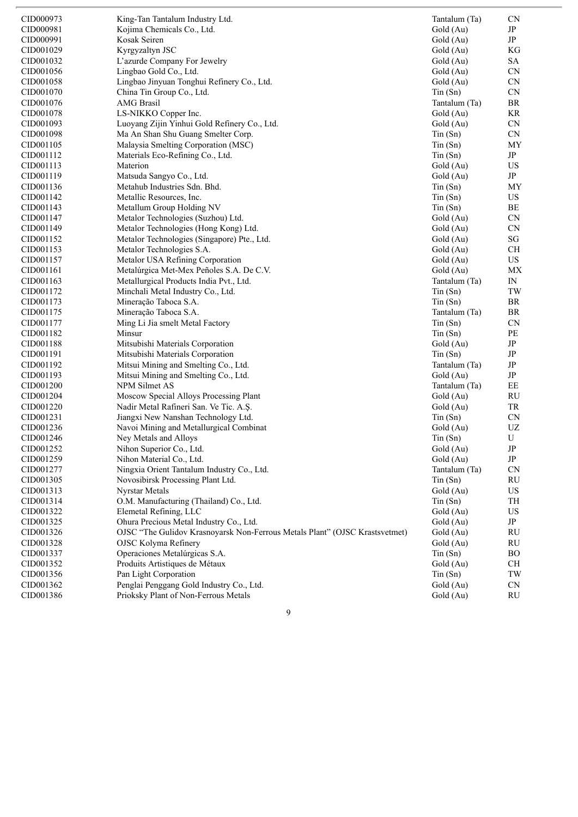| CID000973 | King-Tan Tantalum Industry Ltd.                                             | Tantalum (Ta) | <b>CN</b>                                        |
|-----------|-----------------------------------------------------------------------------|---------------|--------------------------------------------------|
| CID000981 | Kojima Chemicals Co., Ltd.                                                  | Gold (Au)     | $\rm{JP}$                                        |
| CID000991 | Kosak Seiren                                                                | Gold (Au)     | $\rm{JP}$                                        |
| CID001029 | Kyrgyzaltyn JSC                                                             | Gold (Au)     | KG                                               |
| CID001032 | L'azurde Company For Jewelry                                                | Gold (Au)     | <b>SA</b>                                        |
| CID001056 | Lingbao Gold Co., Ltd.                                                      | Gold (Au)     | CN                                               |
| CID001058 | Lingbao Jinyuan Tonghui Refinery Co., Ltd.                                  | Gold (Au)     | CN                                               |
| CID001070 | China Tin Group Co., Ltd.                                                   | $T$ in $(Sn)$ | CN                                               |
| CID001076 | <b>AMG</b> Brasil                                                           | Tantalum (Ta) | BR                                               |
| CID001078 | LS-NIKKO Copper Inc.                                                        | Gold (Au)     | KR                                               |
| CID001093 | Luoyang Zijin Yinhui Gold Refinery Co., Ltd.                                | Gold (Au)     | CN                                               |
| CID001098 | Ma An Shan Shu Guang Smelter Corp.                                          | $T$ in $(Sn)$ | CN                                               |
| CID001105 | Malaysia Smelting Corporation (MSC)                                         | $T$ in $(Sn)$ | MY                                               |
| CID001112 | Materials Eco-Refining Co., Ltd.                                            | $T$ in $(Sn)$ | JP                                               |
| CID001113 | Materion                                                                    | Gold (Au)     | US                                               |
| CID001119 | Matsuda Sangyo Co., Ltd.                                                    | Gold (Au)     | JP                                               |
| CID001136 | Metahub Industries Sdn. Bhd.                                                | $T$ in $(Sn)$ | MY                                               |
| CID001142 | Metallic Resources, Inc.                                                    | $T$ in $(Sn)$ | US                                               |
| CID001143 | Metallum Group Holding NV                                                   | Tin(Sn)       | BE                                               |
| CID001147 | Metalor Technologies (Suzhou) Ltd.                                          | Gold (Au)     | CN                                               |
| CID001149 | Metalor Technologies (Hong Kong) Ltd.                                       | Gold (Au)     | CN                                               |
| CID001152 | Metalor Technologies (Singapore) Pte., Ltd.                                 | Gold (Au)     | $\mathbf{S}\mathbf{G}$                           |
| CID001153 | Metalor Technologies S.A.                                                   | Gold (Au)     | <b>CH</b>                                        |
| CID001157 | Metalor USA Refining Corporation                                            | Gold (Au)     | US                                               |
| CID001161 | Metalúrgica Met-Mex Peñoles S.A. De C.V.                                    | Gold (Au)     | MX                                               |
| CID001163 | Metallurgical Products India Pvt., Ltd.                                     | Tantalum (Ta) | IN                                               |
| CID001172 | Minchali Metal Industry Co., Ltd.                                           | $T$ in $(Sn)$ | TW                                               |
| CID001173 | Mineração Taboca S.A.                                                       | $T$ in $(Sn)$ | BR                                               |
| CID001175 | Mineração Taboca S.A.                                                       | Tantalum (Ta) | BR                                               |
| CID001177 | Ming Li Jia smelt Metal Factory                                             | $T$ in $(Sn)$ | <b>CN</b>                                        |
| CID001182 | Minsur                                                                      | $T$ in $(Sn)$ | PE                                               |
| CID001188 | Mitsubishi Materials Corporation                                            | Gold (Au)     | $\rm{JP}$                                        |
| CID001191 | Mitsubishi Materials Corporation                                            | Tin(Sn)       | $\rm{JP}$                                        |
| CID001192 | Mitsui Mining and Smelting Co., Ltd.                                        | Tantalum (Ta) | JP                                               |
| CID001193 | Mitsui Mining and Smelting Co., Ltd.                                        | Gold (Au)     | JP                                               |
| CID001200 | NPM Silmet AS                                                               | Tantalum (Ta) | EE                                               |
| CID001204 | Moscow Special Alloys Processing Plant                                      | Gold (Au)     | RU                                               |
| CID001220 | Nadir Metal Rafineri San. Ve Tic. A.Ş.                                      | Gold (Au)     | TR                                               |
| CID001231 | Jiangxi New Nanshan Technology Ltd.                                         | $T$ in $(Sn)$ | CN                                               |
| CID001236 | Navoi Mining and Metallurgical Combinat                                     | Gold (Au)     | $\ensuremath{\mathrm{U}}\ensuremath{\mathrm{Z}}$ |
| CID001246 | Ney Metals and Alloys                                                       | Tin(Sn)       | U                                                |
| CID001252 | Nihon Superior Co., Ltd.                                                    | Gold (Au)     | JP                                               |
| CID001259 | Nihon Material Co., Ltd.                                                    | Gold (Au)     | $\rm{JP}$                                        |
| CID001277 | Ningxia Orient Tantalum Industry Co., Ltd.                                  | Tantalum (Ta) | <b>CN</b>                                        |
| CID001305 | Novosibirsk Processing Plant Ltd.                                           | $T$ in $(Sn)$ | RU                                               |
| CID001313 | Nyrstar Metals                                                              | Gold (Au)     | US                                               |
| CID001314 | O.M. Manufacturing (Thailand) Co., Ltd.                                     | $T$ in $(Sn)$ | TH                                               |
| CID001322 | Elemetal Refining, LLC                                                      | Gold (Au)     | US                                               |
| CID001325 | Ohura Precious Metal Industry Co., Ltd.                                     | Gold (Au)     | JP                                               |
| CID001326 | OJSC "The Gulidov Krasnoyarsk Non-Ferrous Metals Plant" (OJSC Krastsvetmet) | Gold (Au)     | $\mathrm{RU}$                                    |
| CID001328 | OJSC Kolyma Refinery                                                        | Gold (Au)     | RU                                               |
| CID001337 | Operaciones Metalúrgicas S.A.                                               | $T$ in $(Sn)$ | <b>BO</b>                                        |
| CID001352 | Produits Artistiques de Métaux                                              | Gold (Au)     | CH                                               |
| CID001356 | Pan Light Corporation                                                       | $T$ in $(Sn)$ | TW                                               |
| CID001362 | Penglai Penggang Gold Industry Co., Ltd.                                    | Gold (Au)     | ${\rm CN}$                                       |
| CID001386 | Prioksky Plant of Non-Ferrous Metals                                        | Gold (Au)     | RU                                               |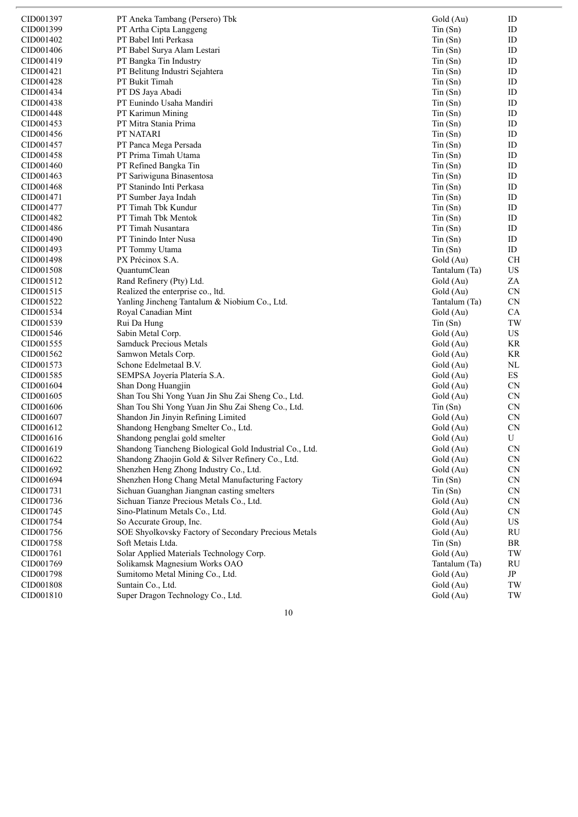| CID001397 | PT Aneka Tambang (Persero) Tbk                          | Gold (Au)     | ID        |
|-----------|---------------------------------------------------------|---------------|-----------|
| CID001399 | PT Artha Cipta Langgeng                                 | Tin(Sn)       | ID        |
| CID001402 | PT Babel Inti Perkasa                                   | $T$ in $(Sn)$ | ID        |
| CID001406 | PT Babel Surya Alam Lestari                             | $T$ in $(Sn)$ | ID        |
| CID001419 | PT Bangka Tin Industry                                  | Tin(Sn)       | ID        |
| CID001421 | PT Belitung Industri Sejahtera                          | $T$ in $(Sn)$ | ID        |
| CID001428 | PT Bukit Timah                                          | $T$ in $(Sn)$ | ID        |
| CID001434 | PT DS Jaya Abadi                                        | $T$ in $(Sn)$ | ID        |
| CID001438 | PT Eunindo Usaha Mandiri                                | $T$ in $(Sn)$ | ID        |
| CID001448 | PT Karimun Mining                                       | $T$ in $(Sn)$ | ID        |
| CID001453 | PT Mitra Stania Prima                                   | $T$ in $(Sn)$ | ID        |
| CID001456 | PT NATARI                                               | $T$ in $(Sn)$ | ID        |
| CID001457 | PT Panca Mega Persada                                   | $T$ in $(Sn)$ | ID        |
| CID001458 | PT Prima Timah Utama                                    | $T$ in $(Sn)$ | ID        |
| CID001460 | PT Refined Bangka Tin                                   | Tin(Sn)       | ID        |
| CID001463 | PT Sariwiguna Binasentosa                               | $T$ in $(Sn)$ | ID        |
| CID001468 | PT Stanindo Inti Perkasa                                | $T$ in $(Sn)$ | ID        |
| CID001471 | PT Sumber Jaya Indah                                    | $T$ in $(Sn)$ | ID        |
| CID001477 | PT Timah Tbk Kundur                                     | $T$ in $(Sn)$ | ID        |
| CID001482 | PT Timah Tbk Mentok                                     | $T$ in $(Sn)$ | ID        |
| CID001486 | PT Timah Nusantara                                      | $T$ in $(Sn)$ | ID        |
| CID001490 | PT Tinindo Inter Nusa                                   | $T$ in $(Sn)$ | ID        |
| CID001493 | PT Tommy Utama                                          | $T$ in $(Sn)$ | ID        |
| CID001498 | PX Précinox S.A.                                        | Gold (Au)     | <b>CH</b> |
| CID001508 | QuantumClean                                            | Tantalum (Ta) | US        |
| CID001512 | Rand Refinery (Pty) Ltd.                                | Gold (Au)     | ZA        |
| CID001515 | Realized the enterprise co., ltd.                       | Gold (Au)     | CN        |
| CID001522 | Yanling Jincheng Tantalum & Niobium Co., Ltd.           | Tantalum (Ta) | CN        |
| CID001534 | Royal Canadian Mint                                     | Gold (Au)     | CA        |
| CID001539 | Rui Da Hung                                             | Tin(Sn)       | TW        |
| CID001546 | Sabin Metal Corp.                                       | Gold (Au)     | US        |
| CID001555 | Samduck Precious Metals                                 | Gold (Au)     | KR        |
| CID001562 | Samwon Metals Corp.                                     | Gold (Au)     | KR        |
| CID001573 | Schone Edelmetaal B.V.                                  | Gold (Au)     | NL        |
| CID001585 | SEMPSA Joyería Platería S.A.                            | Gold (Au)     | ES        |
| CID001604 | Shan Dong Huangjin                                      | Gold (Au)     | CN        |
| CID001605 | Shan Tou Shi Yong Yuan Jin Shu Zai Sheng Co., Ltd.      | Gold (Au)     | CN        |
| CID001606 | Shan Tou Shi Yong Yuan Jin Shu Zai Sheng Co., Ltd.      | $T$ in $(Sn)$ | CN        |
| CID001607 | Shandon Jin Jinyin Refining Limited                     | Gold (Au)     | CN        |
| CID001612 | Shandong Hengbang Smelter Co., Ltd.                     | Gold (Au)     | CN        |
| CID001616 | Shandong penglai gold smelter                           | Gold (Au)     | U         |
| CID001619 | Shandong Tiancheng Biological Gold Industrial Co., Ltd. | Gold (Au)     | <b>CN</b> |
| CID001622 | Shandong Zhaojin Gold & Silver Refinery Co., Ltd.       | Gold (Au)     | <b>CN</b> |
| CID001692 | Shenzhen Heng Zhong Industry Co., Ltd.                  | Gold (Au)     | CN        |
| CID001694 | Shenzhen Hong Chang Metal Manufacturing Factory         | $T$ in $(Sn)$ | CN        |
| CID001731 | Sichuan Guanghan Jiangnan casting smelters              | $T$ in $(Sn)$ | CN        |
| CID001736 | Sichuan Tianze Precious Metals Co., Ltd.                | Gold (Au)     | CN        |
| CID001745 | Sino-Platinum Metals Co., Ltd.                          | Gold (Au)     | <b>CN</b> |
| CID001754 | So Accurate Group, Inc.                                 | Gold (Au)     | US        |
| CID001756 | SOE Shyolkovsky Factory of Secondary Precious Metals    | Gold (Au)     | RU        |
| CID001758 | Soft Metais Ltda.                                       | $T$ in $(Sn)$ | BR        |
| CID001761 | Solar Applied Materials Technology Corp.                | Gold (Au)     | TW        |
| CID001769 | Solikamsk Magnesium Works OAO                           | Tantalum (Ta) | RU        |
| CID001798 | Sumitomo Metal Mining Co., Ltd.                         | Gold (Au)     | JP        |
| CID001808 | Suntain Co., Ltd.                                       | Gold (Au)     | TW        |
| CID001810 | Super Dragon Technology Co., Ltd.                       | Gold (Au)     | TW        |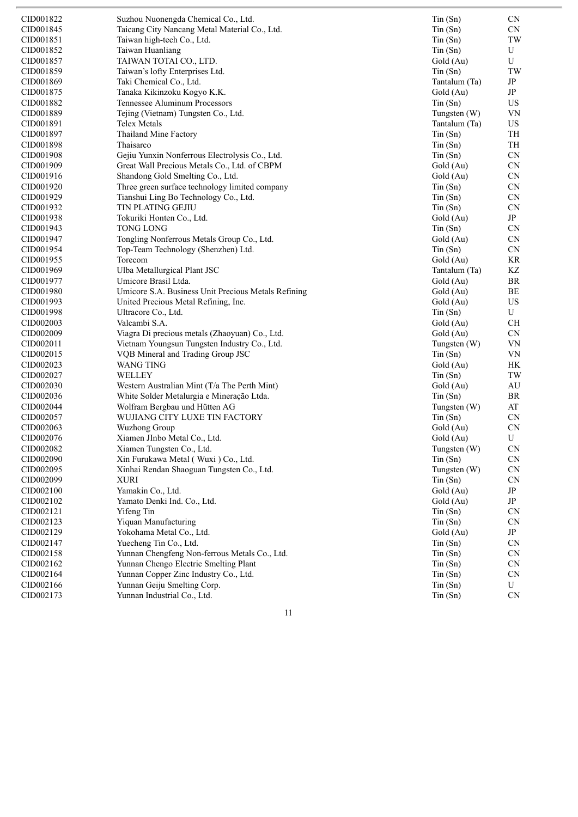| CID001822 | Suzhou Nuonengda Chemical Co., Ltd.                 | $T$ in $(Sn)$ | CN.        |
|-----------|-----------------------------------------------------|---------------|------------|
| CID001845 | Taicang City Nancang Metal Material Co., Ltd.       | $T$ in $(Sn)$ | CN         |
| CID001851 | Taiwan high-tech Co., Ltd.                          | $T$ in $(Sn)$ | TW         |
| CID001852 | Taiwan Huanliang                                    | $T$ in $(Sn)$ | U          |
| CID001857 | TAIWAN TOTAI CO., LTD.                              | Gold (Au)     | U          |
| CID001859 | Taiwan's lofty Enterprises Ltd.                     | $T$ in $(Sn)$ | TW         |
| CID001869 | Taki Chemical Co., Ltd.                             | Tantalum (Ta) | JP         |
| CID001875 | Tanaka Kikinzoku Kogyo K.K.                         | Gold (Au)     | JP         |
| CID001882 | Tennessee Aluminum Processors                       | $T$ in $(Sn)$ | US         |
| CID001889 | Tejing (Vietnam) Tungsten Co., Ltd.                 | Tungsten (W)  | VN         |
| CID001891 | Telex Metals                                        | Tantalum (Ta) | US         |
| CID001897 | Thailand Mine Factory                               | $T$ in $(Sn)$ | TH         |
| CID001898 | Thaisarco                                           | $T$ in $(Sn)$ | TH         |
| CID001908 | Gejiu Yunxin Nonferrous Electrolysis Co., Ltd.      | $T$ in $(Sn)$ | CN         |
| CID001909 | Great Wall Precious Metals Co., Ltd. of CBPM        | Gold (Au)     | CN         |
| CID001916 | Shandong Gold Smelting Co., Ltd.                    | Gold (Au)     | CN         |
| CID001920 | Three green surface technology limited company      | $T$ in $(Sn)$ | CN         |
| CID001929 | Tianshui Ling Bo Technology Co., Ltd.               | $T$ in $(Sn)$ | CN         |
| CID001932 | TIN PLATING GEJIU                                   | $T$ in $(Sn)$ | CN         |
| CID001938 | Tokuriki Honten Co., Ltd.                           | Gold (Au)     | $\rm{JP}$  |
| CID001943 | <b>TONG LONG</b>                                    | $T$ in $(Sn)$ | CN         |
| CID001947 | Tongling Nonferrous Metals Group Co., Ltd.          | Gold (Au)     | CN         |
| CID001954 | Top-Team Technology (Shenzhen) Ltd.                 | $T$ in $(Sn)$ | <b>CN</b>  |
| CID001955 | Torecom                                             | Gold (Au)     | KR         |
| CID001969 | Ulba Metallurgical Plant JSC                        | Tantalum (Ta) | KZ         |
| CID001977 | Umicore Brasil Ltda.                                | Gold (Au)     | BR         |
| CID001980 | Umicore S.A. Business Unit Precious Metals Refining | Gold (Au)     | BE         |
| CID001993 | United Precious Metal Refining, Inc.                | Gold (Au)     | US         |
| CID001998 | Ultracore Co., Ltd.                                 | $T$ in $(Sn)$ | U          |
| CID002003 | Valcambi S.A.                                       | Gold (Au)     | CH         |
| CID002009 | Viagra Di precious metals (Zhaoyuan) Co., Ltd.      | Gold (Au)     | CN         |
| CID002011 | Vietnam Youngsun Tungsten Industry Co., Ltd.        | Tungsten (W)  | VN         |
| CID002015 | VQB Mineral and Trading Group JSC                   | $T$ in $(Sn)$ | VN         |
| CID002023 | WANG TING                                           | Gold (Au)     | HK         |
| CID002027 | WELLEY                                              | $T$ in $(Sn)$ | TW         |
| CID002030 | Western Australian Mint (T/a The Perth Mint)        | Gold (Au)     | AU         |
| CID002036 | White Solder Metalurgia e Mineração Ltda.           | $T$ in $(Sn)$ | BR         |
| CID002044 | Wolfram Bergbau und Hütten AG                       | Tungsten (W)  | AT         |
| CID002057 | WUJIANG CITY LUXE TIN FACTORY                       | $T$ in $(Sn)$ | CN         |
| CID002063 | Wuzhong Group                                       | Gold (Au)     | ${\rm CN}$ |
| CID002076 | Xiamen JInbo Metal Co., Ltd.                        | Gold (Au)     | U          |
| CID002082 | Xiamen Tungsten Co., Ltd.                           | Tungsten (W)  | CN         |
| CID002090 | Xin Furukawa Metal (Wuxi) Co., Ltd.                 | $T$ in $(Sn)$ | CN         |
| CID002095 | Xinhai Rendan Shaoguan Tungsten Co., Ltd.           | Tungsten (W)  | ${\rm CN}$ |
| CID002099 | <b>XURI</b>                                         | Tin(Sn)       | CN         |
| CID002100 | Yamakin Co., Ltd.                                   | Gold (Au)     | $\rm{JP}$  |
| CID002102 | Yamato Denki Ind. Co., Ltd.                         | Gold (Au)     | JP         |
| CID002121 | Yifeng Tin                                          | $T$ in $(Sn)$ | <b>CN</b>  |
| CID002123 | Yiquan Manufacturing                                | $T$ in $(Sn)$ | <b>CN</b>  |
| CID002129 | Yokohama Metal Co., Ltd.                            | Gold (Au)     | JP         |
| CID002147 | Yuecheng Tin Co., Ltd.                              | $T$ in $(Sn)$ | CN         |
| CID002158 | Yunnan Chengfeng Non-ferrous Metals Co., Ltd.       | $T$ in $(Sn)$ | CN         |
| CID002162 | Yunnan Chengo Electric Smelting Plant               | $T$ in $(Sn)$ | <b>CN</b>  |
| CID002164 | Yunnan Copper Zinc Industry Co., Ltd.               | $T$ in $(Sn)$ | CN         |
| CID002166 | Yunnan Geiju Smelting Corp.                         | Tin(Sn)       | U          |
| CID002173 | Yunnan Industrial Co., Ltd.                         | $T$ in $(Sn)$ | <b>CN</b>  |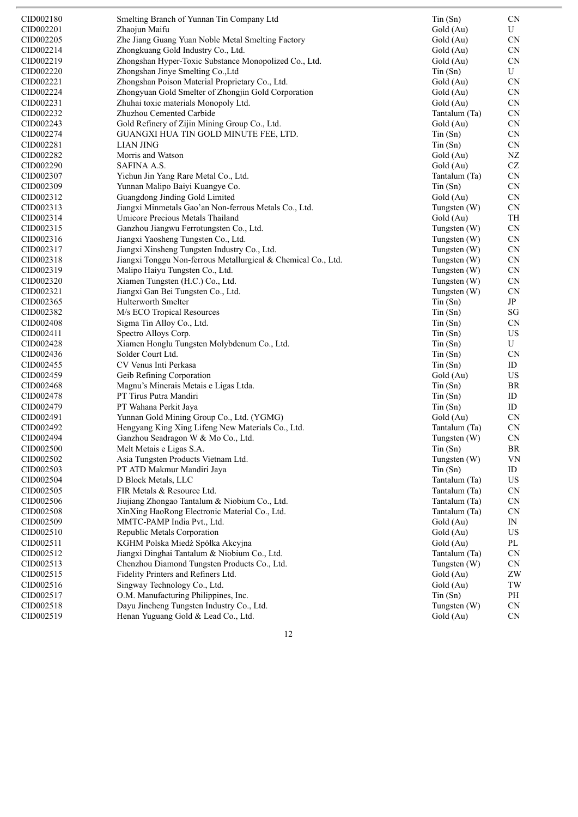| CID002180 | Smelting Branch of Yunnan Tin Company Ltd                     | $T$ in $(Sn)$  | <b>CN</b>              |
|-----------|---------------------------------------------------------------|----------------|------------------------|
| CID002201 | Zhaojun Maifu                                                 | Gold (Au)      | U                      |
| CID002205 | Zhe Jiang Guang Yuan Noble Metal Smelting Factory             | Gold (Au)      | CN                     |
| CID002214 | Zhongkuang Gold Industry Co., Ltd.                            | Gold (Au)      | CN                     |
| CID002219 | Zhongshan Hyper-Toxic Substance Monopolized Co., Ltd.         | Gold (Au)      | ${\rm CN}$             |
| CID002220 | Zhongshan Jinye Smelting Co., Ltd                             | $T$ in $(Sn)$  | U                      |
| CID002221 | Zhongshan Poison Material Proprietary Co., Ltd.               | Gold (Au)      | <b>CN</b>              |
| CID002224 | Zhongyuan Gold Smelter of Zhongjin Gold Corporation           | Gold (Au)      | <b>CN</b>              |
| CID002231 | Zhuhai toxic materials Monopoly Ltd.                          |                | ${\rm CN}$             |
| CID002232 |                                                               | Gold (Au)      |                        |
|           | Zhuzhou Cemented Carbide                                      | Tantalum (Ta)  | <b>CN</b>              |
| CID002243 | Gold Refinery of Zijin Mining Group Co., Ltd.                 | Gold (Au)      | <b>CN</b>              |
| CID002274 | GUANGXI HUA TIN GOLD MINUTE FEE, LTD.                         | $T$ in $(Sn)$  | <b>CN</b>              |
| CID002281 | <b>LIAN JING</b>                                              | Tin(Sn)        | <b>CN</b>              |
| CID002282 | Morris and Watson                                             | Gold (Au)      | NZ                     |
| CID002290 | <b>SAFINA A.S.</b>                                            | Gold (Au)      | $\operatorname{CZ}$    |
| CID002307 | Yichun Jin Yang Rare Metal Co., Ltd.                          | Tantalum (Ta)  | ${\rm CN}$             |
| CID002309 | Yunnan Malipo Baiyi Kuangye Co.                               | $T$ in $(Sn)$  | CN                     |
| CID002312 | Guangdong Jinding Gold Limited                                | Gold (Au)      | <b>CN</b>              |
| CID002313 | Jiangxi Minmetals Gao'an Non-ferrous Metals Co., Ltd.         | Tungsten $(W)$ | ${\rm CN}$             |
| CID002314 | Umicore Precious Metals Thailand                              | Gold (Au)      | TH                     |
| CID002315 | Ganzhou Jiangwu Ferrotungsten Co., Ltd.                       | Tungsten (W)   | ${\rm CN}$             |
| CID002316 | Jiangxi Yaosheng Tungsten Co., Ltd.                           | Tungsten (W)   | CN                     |
| CID002317 | Jiangxi Xinsheng Tungsten Industry Co., Ltd.                  | Tungsten (W)   | CN                     |
| CID002318 | Jiangxi Tonggu Non-ferrous Metallurgical & Chemical Co., Ltd. | Tungsten (W)   | ${\rm CN}$             |
| CID002319 | Malipo Haiyu Tungsten Co., Ltd.                               |                | ${\rm CN}$             |
|           |                                                               | Tungsten (W)   | CN                     |
| CID002320 | Xiamen Tungsten (H.C.) Co., Ltd.                              | Tungsten (W)   |                        |
| CID002321 | Jiangxi Gan Bei Tungsten Co., Ltd.                            | Tungsten (W)   | CN                     |
| CID002365 | <b>Hulterworth Smelter</b>                                    | $T$ in $(Sn)$  | JP                     |
| CID002382 | M/s ECO Tropical Resources                                    | Tin(Sn)        | $\mathbf{S}\mathbf{G}$ |
| CID002408 | Sigma Tin Alloy Co., Ltd.                                     | $T$ in $(Sn)$  | <b>CN</b>              |
| CID002411 | Spectro Alloys Corp.                                          | $T$ in $(Sn)$  | $_{\rm US}$            |
| CID002428 | Xiamen Honglu Tungsten Molybdenum Co., Ltd.                   | $T$ in $(Sn)$  | U                      |
| CID002436 | Solder Court Ltd.                                             | $T$ in $(Sn)$  | <b>CN</b>              |
| CID002455 | CV Venus Inti Perkasa                                         | Tin(Sn)        | ID                     |
| CID002459 | Geib Refining Corporation                                     | Gold (Au)      | US                     |
| CID002468 | Magnu's Minerais Metais e Ligas Ltda.                         | $T$ in $(Sn)$  | BR                     |
| CID002478 | PT Tirus Putra Mandiri                                        | $T$ in $(Sn)$  | ID                     |
| CID002479 | PT Wahana Perkit Jaya                                         | $T$ in $(Sn)$  | ID                     |
| CID002491 | Yunnan Gold Mining Group Co., Ltd. (YGMG)                     | Gold (Au)      | <b>CN</b>              |
| CID002492 | Hengyang King Xing Lifeng New Materials Co., Ltd.             | Tantalum (Ta)  | <b>CN</b>              |
| CID002494 | Ganzhou Seadragon W & Mo Co., Ltd.                            |                | CN                     |
|           |                                                               | Tungsten $(W)$ |                        |
| CID002500 | Melt Metais e Ligas S.A.                                      | $T$ in $(Sn)$  | BR                     |
| CID002502 | Asia Tungsten Products Vietnam Ltd.                           | Tungsten (W)   | <b>VN</b>              |
| CID002503 | PT ATD Makmur Mandiri Jaya                                    | $T$ in $(Sn)$  | ID                     |
| CID002504 | D Block Metals, LLC                                           | Tantalum (Ta)  | US                     |
| CID002505 | FIR Metals & Resource Ltd.                                    | Tantalum (Ta)  | CN                     |
| CID002506 | Jiujiang Zhongao Tantalum & Niobium Co., Ltd.                 | Tantalum (Ta)  | <b>CN</b>              |
| CID002508 | XinXing HaoRong Electronic Material Co., Ltd.                 | Tantalum (Ta)  | CN                     |
| CID002509 | MMTC-PAMP India Pvt., Ltd.                                    | Gold (Au)      | IN                     |
| CID002510 | Republic Metals Corporation                                   | Gold (Au)      | US                     |
| CID002511 | KGHM Polska Miedź Spółka Akcyjna                              | Gold (Au)      | PL                     |
| CID002512 | Jiangxi Dinghai Tantalum & Niobium Co., Ltd.                  | Tantalum (Ta)  | CN                     |
| CID002513 | Chenzhou Diamond Tungsten Products Co., Ltd.                  | Tungsten (W)   | <b>CN</b>              |
| CID002515 | Fidelity Printers and Refiners Ltd.                           | Gold (Au)      | ZW                     |
| CID002516 | Singway Technology Co., Ltd.                                  | Gold (Au)      | TW                     |
| CID002517 | O.M. Manufacturing Philippines, Inc.                          | $T$ in $(Sn)$  | PH                     |
| CID002518 | Dayu Jincheng Tungsten Industry Co., Ltd.                     | Tungsten (W)   | CN                     |
| CID002519 | Henan Yuguang Gold & Lead Co., Ltd.                           | Gold (Au)      | CN                     |
|           |                                                               |                |                        |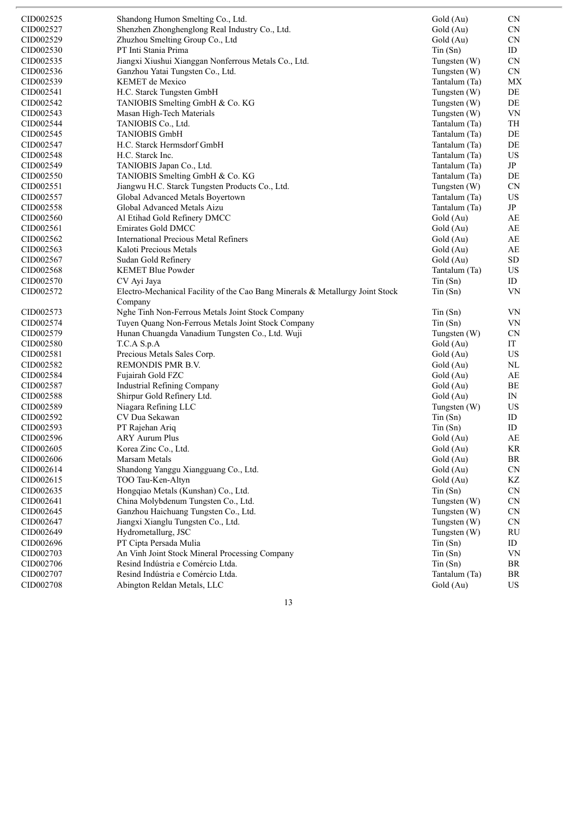| CID002525 | Shandong Humon Smelting Co., Ltd.                                             | Gold (Au)     | <b>CN</b>  |
|-----------|-------------------------------------------------------------------------------|---------------|------------|
| CID002527 | Shenzhen Zhonghenglong Real Industry Co., Ltd.                                | Gold (Au)     | <b>CN</b>  |
| CID002529 | Zhuzhou Smelting Group Co., Ltd                                               | Gold (Au)     | <b>CN</b>  |
| CID002530 | PT Inti Stania Prima                                                          | $T$ in $(Sn)$ | ID         |
| CID002535 | Jiangxi Xiushui Xianggan Nonferrous Metals Co., Ltd.                          | Tungsten (W)  | <b>CN</b>  |
| CID002536 | Ganzhou Yatai Tungsten Co., Ltd.                                              | Tungsten (W)  | ${\rm CN}$ |
| CID002539 | KEMET de Mexico                                                               | Tantalum (Ta) | MX         |
| CID002541 | H.C. Starck Tungsten GmbH                                                     | Tungsten (W)  | DE         |
| CID002542 | TANIOBIS Smelting GmbH & Co. KG                                               | Tungsten (W)  | DE         |
| CID002543 | Masan High-Tech Materials                                                     | Tungsten (W)  | VN         |
| CID002544 | TANIOBIS Co., Ltd.                                                            | Tantalum (Ta) | TH         |
| CID002545 | <b>TANIOBIS GmbH</b>                                                          | Tantalum (Ta) | DE         |
| CID002547 | H.C. Starck Hermsdorf GmbH                                                    | Tantalum (Ta) | DE         |
|           |                                                                               |               |            |
| CID002548 | H.C. Starck Inc.                                                              | Tantalum (Ta) | US         |
| CID002549 | TANIOBIS Japan Co., Ltd.                                                      | Tantalum (Ta) | JP         |
| CID002550 | TANIOBIS Smelting GmbH & Co. KG                                               | Tantalum (Ta) | DE         |
| CID002551 | Jiangwu H.C. Starck Tungsten Products Co., Ltd.                               | Tungsten (W)  | <b>CN</b>  |
| CID002557 | Global Advanced Metals Boyertown                                              | Tantalum (Ta) | US         |
| CID002558 | Global Advanced Metals Aizu                                                   | Tantalum (Ta) | JP         |
| CID002560 | Al Etihad Gold Refinery DMCC                                                  | Gold (Au)     | AE         |
| CID002561 | Emirates Gold DMCC                                                            | Gold (Au)     | AE         |
| CID002562 | <b>International Precious Metal Refiners</b>                                  | Gold (Au)     | AE         |
| CID002563 | Kaloti Precious Metals                                                        | Gold (Au)     | AE         |
| CID002567 | Sudan Gold Refinery                                                           | Gold (Au)     | <b>SD</b>  |
| CID002568 | <b>KEMET Blue Powder</b>                                                      | Tantalum (Ta) | US.        |
| CID002570 | CV Ayi Jaya                                                                   | $T$ in $(Sn)$ | ID         |
| CID002572 | Electro-Mechanical Facility of the Cao Bang Minerals & Metallurgy Joint Stock | $T$ in $(Sn)$ | VN         |
|           | Company                                                                       |               |            |
| CID002573 | Nghe Tinh Non-Ferrous Metals Joint Stock Company                              | Tin(Sn)       | VN         |
| CID002574 | Tuyen Quang Non-Ferrous Metals Joint Stock Company                            | $T$ in $(Sn)$ | <b>VN</b>  |
| CID002579 | Hunan Chuangda Vanadium Tungsten Co., Ltd. Wuji                               | Tungsten (W)  | <b>CN</b>  |
| CID002580 | T.C.A S.p.A                                                                   | Gold (Au)     | IT         |
|           |                                                                               |               |            |
| CID002581 | Precious Metals Sales Corp.                                                   | Gold (Au)     | US         |
| CID002582 | <b>REMONDIS PMR B.V.</b>                                                      | Gold (Au)     | NL         |
| CID002584 | Fujairah Gold FZC                                                             | Gold (Au)     | AE         |
| CID002587 | <b>Industrial Refining Company</b>                                            | Gold (Au)     | BE         |
| CID002588 | Shirpur Gold Refinery Ltd.                                                    | Gold (Au)     | IN         |
| CID002589 | Niagara Refining LLC                                                          | Tungsten (W)  | US         |
| CID002592 | CV Dua Sekawan                                                                | Tin(Sn)       | ID         |
| CID002593 | PT Rajehan Ariq                                                               | $T$ in $(Sn)$ | ID         |
| CID002596 | <b>ARY Aurum Plus</b>                                                         | Gold (Au)     | AE         |
| CID002605 | Korea Zinc Co., Ltd.                                                          | Gold (Au)     | KR         |
| CID002606 | Marsam Metals                                                                 | Gold (Au)     | BR         |
| CID002614 | Shandong Yanggu Xiangguang Co., Ltd.                                          | Gold (Au)     | <b>CN</b>  |
| CID002615 | TOO Tau-Ken-Altyn                                                             | Gold (Au)     | KZ         |
| CID002635 | Hongqiao Metals (Kunshan) Co., Ltd.                                           | $T$ in $(Sn)$ | <b>CN</b>  |
| CID002641 | China Molybdenum Tungsten Co., Ltd.                                           | Tungsten (W)  | <b>CN</b>  |
| CID002645 | Ganzhou Haichuang Tungsten Co., Ltd.                                          | Tungsten (W)  | CN         |
| CID002647 | Jiangxi Xianglu Tungsten Co., Ltd.                                            | Tungsten (W)  | <b>CN</b>  |
| CID002649 | Hydrometallurg, JSC                                                           | Tungsten (W)  | RU         |
| CID002696 | PT Cipta Persada Mulia                                                        | $T$ in $(Sn)$ | ID         |
| CID002703 | An Vinh Joint Stock Mineral Processing Company                                | $T$ in $(Sn)$ | VN         |
| CID002706 | Resind Indústria e Comércio Ltda.                                             | $T$ in $(Sn)$ | BR         |
| CID002707 | Resind Indústria e Comércio Ltda.                                             | Tantalum (Ta) | BR         |
|           |                                                                               |               |            |
| CID002708 | Abington Reldan Metals, LLC                                                   | Gold (Au)     | US         |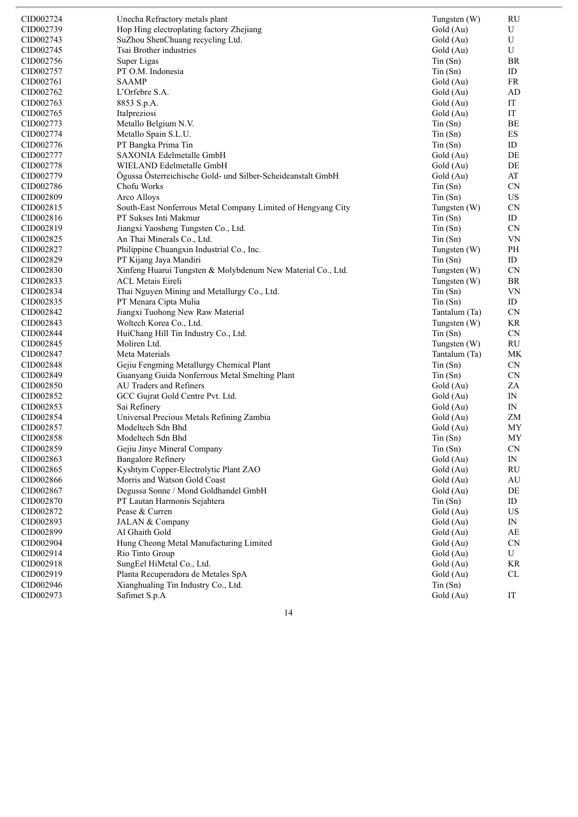| CID002724 | Unecha Refractory metals plant                               | Tungsten (W)               | RU                             |
|-----------|--------------------------------------------------------------|----------------------------|--------------------------------|
| CID002739 | Hop Hing electroplating factory Zhejiang                     | Gold (Au)                  | U                              |
| CID002743 | SuZhou ShenChuang recycling Ltd.                             | Gold (Au)                  | U                              |
| CID002745 | Tsai Brother industries                                      | Gold (Au)                  | U                              |
| CID002756 | Super Ligas                                                  | Tin(Sn)                    | BR                             |
| CID002757 | PT O.M. Indonesia                                            | $T$ in $(Sn)$              | ID                             |
| CID002761 | <b>SAAMP</b>                                                 | Gold (Au)                  | <b>FR</b>                      |
| CID002762 | L'Orfebre S.A.                                               | Gold (Au)                  | AD                             |
| CID002763 | 8853 S.p.A.                                                  | Gold (Au)                  | IT                             |
| CID002765 | Italpreziosi                                                 | Gold (Au)                  | $\operatorname{IT}$            |
| CID002773 | Metallo Belgium N.V.                                         | $T$ in $(Sn)$              | BE                             |
| CID002774 | Metallo Spain S.L.U.                                         | $T$ in $(Sn)$              | ES                             |
| CID002776 | PT Bangka Prima Tin                                          | $T$ in $(Sn)$              | ID                             |
| CID002777 | SAXONIA Edelmetalle GmbH                                     | Gold (Au)                  | DE                             |
| CID002778 | WIELAND Edelmetalle GmbH                                     | Gold (Au)                  | DE                             |
| CID002779 | Ögussa Österreichische Gold- und Silber-Scheideanstalt GmbH  | Gold (Au)                  | AT                             |
| CID002786 | Chofu Works                                                  | $T$ in $(Sn)$              | <b>CN</b>                      |
| CID002809 | Arco Alloys                                                  | $T$ in $(Sn)$              | US                             |
| CID002815 | South-East Nonferrous Metal Company Limited of Hengyang City | Tungsten (W)               | CN                             |
| CID002816 | PT Sukses Inti Makmur                                        | Tin(Sn)                    | ID                             |
| CID002819 | Jiangxi Yaosheng Tungsten Co., Ltd.                          | $T$ in $(Sn)$              | CN                             |
| CID002825 | An Thai Minerals Co., Ltd.                                   | Tin(Sn)                    | VN                             |
| CID002827 | Philippine Chuangxin Industrial Co., Inc.                    | Tungsten (W)               | PH                             |
| CID002829 | PT Kijang Jaya Mandiri                                       | $T$ in $(Sn)$              | ID                             |
| CID002830 | Xinfeng Huarui Tungsten & Molybdenum New Material Co., Ltd.  | Tungsten (W)               | CN                             |
| CID002833 | <b>ACL Metais Eireli</b>                                     | Tungsten (W)               | BR                             |
| CID002834 | Thai Nguyen Mining and Metallurgy Co., Ltd.                  | $T$ in $(Sn)$              | VN                             |
| CID002835 | PT Menara Cipta Mulia                                        | Tin(Sn)                    | ID                             |
| CID002842 | Jiangxi Tuohong New Raw Material                             | Tantalum (Ta)              | CN                             |
| CID002843 | Woltech Korea Co., Ltd.                                      | Tungsten (W)               | KR                             |
| CID002844 | HuiChang Hill Tin Industry Co., Ltd.                         | $T$ in $(Sn)$              | CN                             |
| CID002845 | Moliren Ltd.                                                 | Tungsten (W)               | $\mathrm{RU}$                  |
| CID002847 | Meta Materials                                               | Tantalum (Ta)              | MK                             |
| CID002848 | Gejiu Fengming Metallurgy Chemical Plant                     |                            | CN                             |
| CID002849 | Guanyang Guida Nonferrous Metal Smelting Plant               | $T$ in $(Sn)$              |                                |
| CID002850 | <b>AU Traders and Refiners</b>                               | Tin(Sn)                    | <b>CN</b><br>ZA                |
| CID002852 |                                                              | Gold (Au)<br>Gold (Au)     | IN                             |
| CID002853 | GCC Gujrat Gold Centre Pvt. Ltd.<br>Sai Refinery             |                            | IN                             |
| CID002854 | Universal Precious Metals Refining Zambia                    | Gold (Au)<br>Gold (Au)     | ZM                             |
| CID002857 |                                                              |                            |                                |
|           | Modeltech Sdn Bhd                                            | Gold (Au)<br>$T$ in $(Sn)$ | MY<br>$\ensuremath{\text{MY}}$ |
| CID002858 | Modeltech Sdn Bhd                                            |                            |                                |
| CID002859 | Gejiu Jinye Mineral Company                                  | Tin(Sn)                    | <b>CN</b>                      |
| CID002863 | <b>Bangalore Refinery</b>                                    | Gold (Au)                  | IN                             |
| CID002865 | Kyshtym Copper-Electrolytic Plant ZAO                        | Gold (Au)                  | $\mathrm{RU}$                  |
| CID002866 | Morris and Watson Gold Coast                                 | Gold (Au)                  | AU                             |
| CID002867 | Degussa Sonne / Mond Goldhandel GmbH                         | Gold (Au)                  | DE                             |
| CID002870 | PT Lautan Harmonis Sejahtera                                 | $T$ in $(Sn)$              | ID                             |
| CID002872 | Pease & Curren                                               | Gold (Au)                  | US                             |
| CID002893 | JALAN & Company                                              | Gold (Au)                  | IN                             |
| CID002899 | Al Ghaith Gold                                               | Gold (Au)                  | AE                             |
| CID002904 | Hung Cheong Metal Manufacturing Limited                      | Gold (Au)                  | CN                             |
| CID002914 | Rio Tinto Group                                              | Gold (Au)                  | U                              |
| CID002918 | SungEel HiMetal Co., Ltd.                                    | Gold (Au)                  | KR                             |
| CID002919 | Planta Recuperadora de Metales SpA                           | Gold (Au)                  | CL                             |
| CID002946 | Xianghualing Tin Industry Co., Ltd.                          | Tin(Sn)                    |                                |
| CID002973 | Safimet S.p.A                                                | Gold (Au)                  | IT                             |